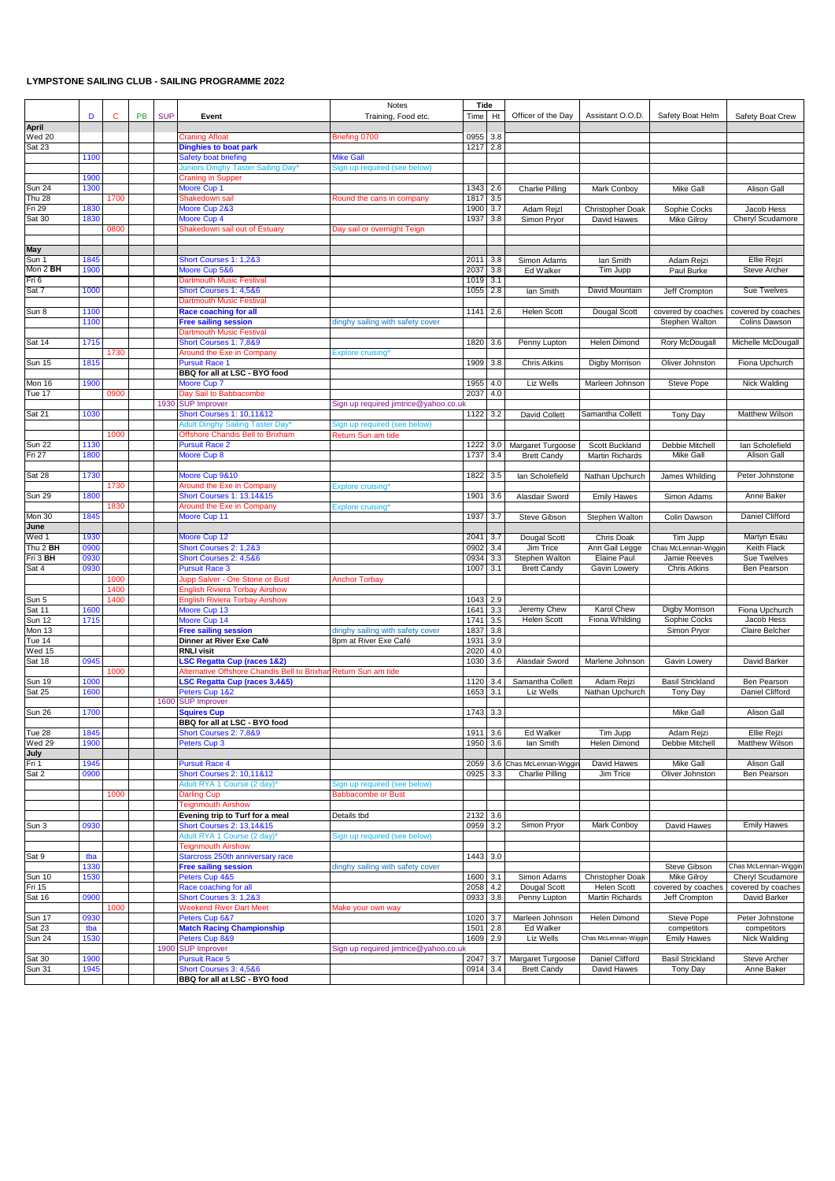## **LYMPSTONE SAILING CLUB - SAILING PROGRAMME 2022**

|                 |      |      |    |            |                                             | Notes                                 | Tide     |     |                         |                      |                         |                       |
|-----------------|------|------|----|------------|---------------------------------------------|---------------------------------------|----------|-----|-------------------------|----------------------|-------------------------|-----------------------|
|                 | D    | C    | PB | <b>SUP</b> | Event                                       | Training, Food etc.                   | Time     | Ht  | Officer of the Day      | Assistant O.O.D.     | Safety Boat Helm        | Safety Boat Crew      |
| <b>April</b>    |      |      |    |            |                                             |                                       |          |     |                         |                      |                         |                       |
| <b>Wed 20</b>   |      |      |    |            | <b>Craning Afloat</b>                       | Briefing 0700                         | 0955     | 3.8 |                         |                      |                         |                       |
| Sat 23          |      |      |    |            | <b>Dinghies to boat park</b>                |                                       | 1217 2.8 |     |                         |                      |                         |                       |
|                 | 1100 |      |    |            | Safety boat briefing                        | Mike Gall                             |          |     |                         |                      |                         |                       |
|                 |      |      |    |            | Juniors Dinghy Taster Sailing Day           | Sign up required (see below)          |          |     |                         |                      |                         |                       |
|                 | 1900 |      |    |            | <b>Craning in Supper</b>                    |                                       |          |     |                         |                      |                         |                       |
| <b>Sun 24</b>   | 1300 |      |    |            | Moore Cup 1                                 |                                       | 1343 2.6 |     | <b>Charlie Pilling</b>  | Mark Conboy          | Mike Gall               | Alison Gall           |
| <b>Thu 28</b>   |      | 1700 |    |            | Shakedown sail                              | Round the cans in company             | 1817     | 3.5 |                         |                      |                         |                       |
| Fri 29          | 1830 |      |    |            | Moore Cup 2&3                               |                                       | 1900     | 3.7 | Adam Rejzl              | Christopher Doak     | Sophie Cocks            | Jacob Hess            |
| Sat 30          | 1830 |      |    |            | Moore Cup 4                                 |                                       | 1937     | 3.8 | Simon Pryor             | David Hawes          | <b>Mike Gilroy</b>      | Cheryl Scudamore      |
|                 |      | 0800 |    |            | Shakedown sail out of Estuary               | Day sail or overnight Teign           |          |     |                         |                      |                         |                       |
|                 |      |      |    |            |                                             |                                       |          |     |                         |                      |                         |                       |
| May             |      |      |    |            |                                             |                                       |          |     |                         |                      |                         |                       |
| Sun 1           | 1845 |      |    |            | Short Courses 1: 1,2&3                      |                                       | 2011     | 3.8 | Simon Adams             | lan Smith            | Adam Rejzi              | <b>Ellie Rejzi</b>    |
| Mon 2 <b>BH</b> | 1900 |      |    |            | Moore Cup 5&6                               |                                       | 2037     | 3.8 | Ed Walker               | Tim Jupp             | Paul Burke              | Steve Archer          |
| Fri 6           |      |      |    |            | <b>Dartmouth Music Festival</b>             |                                       | 1019     | 3.1 |                         |                      |                         |                       |
| Sat 7           | 1000 |      |    |            | Short Courses 1: 4,5&6                      |                                       | 1055     | 2.8 | lan Smith               | David Mountain       | Jeff Crompton           | Sue Twelves           |
|                 |      |      |    |            | Dartmouth Music Festival                    |                                       |          |     |                         |                      |                         |                       |
| Sun 8           | 1100 |      |    |            | <b>Race coaching for all</b>                |                                       | 1141     | 2.6 | Helen Scott             | Dougal Scott         | covered by coaches      | covered by coaches    |
|                 | 1100 |      |    |            | <b>Free sailing session</b>                 | dinghy sailing with safety cover      |          |     |                         |                      | Stephen Walton          | Colins Dawson         |
|                 |      |      |    |            | Dartmouth Music Festival                    |                                       |          |     |                         |                      |                         |                       |
| Sat 14          | 1715 |      |    |            | Short Courses 1: 7,8&9                      |                                       | 1820 3.6 |     | Penny Lupton            | Helen Dimond         | Rory McDougall          | Michelle McDougall    |
|                 |      | 1730 |    |            | Around the Exe in Company                   | <b>Explore cruising'</b>              |          |     |                         |                      |                         |                       |
| Sun 15          | 1815 |      |    |            | <b>Pursuit Race 1</b>                       |                                       | 1909     | 3.8 | <b>Chris Atkins</b>     | Digby Morrison       | Oliver Johnston         | Fiona Upchurch        |
|                 |      |      |    |            | BBQ for all at LSC - BYO food               |                                       |          |     |                         |                      |                         |                       |
| Mon 16          | 1900 |      |    |            | Moore Cup 7                                 |                                       | 1955     | 4.0 | Liz Wells               | Marleen Johnson      | Steve Pope              | Nick Walding          |
| Tue 17          |      | 0900 |    |            | Day Sail to Babbacombe                      |                                       | 2037     | 4.0 |                         |                      |                         |                       |
|                 |      |      |    |            | 1930 SUP Improver                           | Sign up required jimtrice@yahoo.co.uk |          |     |                         |                      |                         |                       |
| Sat 21          | 1030 |      |    |            | <b>Short Courses 1: 10,11&amp;12</b>        |                                       | 1122     | 3.2 | David Collett           | Samantha Collett     | <b>Tony Day</b>         | <b>Matthew Wilson</b> |
|                 |      |      |    |            | <b>Adult Dinghy Sailing Taster Day</b>      | Sign up required (see below)          |          |     |                         |                      |                         |                       |
|                 |      | 1000 |    |            | Offshore Chandis Bell to Brixham            | Return Sun am tide                    |          |     |                         |                      |                         |                       |
| Sun $22$        | 1130 |      |    |            | <b>Pursuit Race 2</b>                       |                                       | 1222     | 3.0 | Margaret Turgoose       | Scott Buckland       | Debbie Mitchell         | lan Scholefield       |
| Fri 27          | 1800 |      |    |            | Moore Cup 8                                 |                                       | 1737     | 3.4 | <b>Brett Candy</b>      | Martin Richards      | <b>Mike Gall</b>        | Alison Gall           |
|                 |      |      |    |            |                                             |                                       |          |     |                         |                      |                         |                       |
| Sat 28          | 1730 |      |    |            | Moore Cup 9&10                              |                                       | 1822     | 3.5 | lan Scholefield         | Nathan Upchurch      | James Whilding          | Peter Johnstone       |
|                 |      | 1730 |    |            | Around the Exe in Company                   | Explore cruising'                     |          |     |                         |                      |                         |                       |
| Sun 29          | 1800 |      |    |            | Short Courses 1: 13,14&15                   |                                       | 1901     | 3.6 | Alasdair Sword          | <b>Emily Hawes</b>   | Simon Adams             | Anne Baker            |
|                 |      | 1830 |    |            | Around the Exe in Company                   | <b>Explore cruising*</b>              |          |     |                         |                      |                         |                       |
| Mon 30          | 1845 |      |    |            | Moore Cup 11                                |                                       | 1937     | 3.7 | Steve Gibson            | Stephen Walton       | Colin Dawson            | Daniel Clifford       |
| June            |      |      |    |            |                                             |                                       |          |     |                         |                      |                         |                       |
| Wed 1           | 1930 |      |    |            | Moore Cup 12                                |                                       | 2041     | 3.7 | Dougal Scott            | Chris Doak           | Tim Jupp                | Martyn Esau           |
| Thu 2 BH        | 0900 |      |    |            | Short Courses 2: 1,2&3                      |                                       | 0902     | 3.4 | Jim Trice               | Ann Gail Legge       | Chas McLennan-Wiggin    | Keith Flack           |
| Fri 3 BH        | 0930 |      |    |            | Short Courses 2: 4,5&6                      |                                       | 0934     | 3.3 | Stephen Walton          | Elaine Paul          | Jamie Reeves            | Sue Twelves           |
| Sat 4           | 0930 |      |    |            | <b>Pursuit Race 3</b>                       |                                       | 1007     | 3.1 | <b>Brett Candy</b>      | Gavin Lowery         | <b>Chris Atkins</b>     | Ben Pearson           |
|                 |      | 1000 |    |            | upp Salver - Ore Stone or Bust              | <b>Anchor Torbay</b>                  |          |     |                         |                      |                         |                       |
|                 |      | 1400 |    |            | <b>English Riviera Torbay Airshow</b>       |                                       |          |     |                         |                      |                         |                       |
| Sun 5           |      | 1400 |    |            | <b>English Riviera Torbay Airshow</b>       |                                       | 1043     | 2.9 |                         |                      |                         |                       |
| Sat 11          | 1600 |      |    |            | Moore Cup 13                                |                                       | 1641     | 3.3 | Jeremy Chew             | Karol Chew           | Digby Morrison          | Fiona Upchurch        |
| Sun 12          | 1715 |      |    |            | Moore Cup 14                                |                                       | 1741     | 3.5 | <b>Helen Scott</b>      | Fiona Whilding       | Sophie Cocks            | Jacob Hess            |
| Mon 13          |      |      |    |            | <b>Free sailing session</b>                 | dinghy sailing with safety cover      | 1837     | 3.8 |                         |                      | Simon Pryor             | Claire Belcher        |
| Tue 14          |      |      |    |            | Dinner at River Exe Café                    | 8pm at River Exe Café                 | 1931     | 3.9 |                         |                      |                         |                       |
| Ned 15          |      |      |    |            | <b>RNLI visit</b>                           |                                       | 2020     | 4.0 |                         |                      |                         |                       |
| Sat 18          | 0945 |      |    |            | <b>LSC Regatta Cup (races 1&amp;2)</b>      |                                       | 1030     | 3.6 | Alasdair Sword          | Marlene Johnson      | Gavin Lowery            | David Barker          |
|                 |      | 1000 |    |            | Alternative Offshore Chandis Bell to Brixha | Return Sun am tide                    |          |     |                         |                      |                         |                       |
| Sun 19          | 1000 |      |    |            | <b>LSC Regatta Cup (races 3,4&amp;5)</b>    |                                       | 1120     | 3.4 | Samantha Collett        | Adam Rejzi           | <b>Basil Strickland</b> | Ben Pearson           |
| Sat 25          | 1600 |      |    |            | Peters Cup 1&2                              |                                       | 1653     | 3.1 | Liz Wells               | Nathan Upchurch      | <b>Tony Day</b>         | Daniel Clifford       |
|                 |      |      |    | 1600       | <b>SUP Improver</b>                         |                                       |          |     |                         |                      |                         |                       |
| <b>Sun 26</b>   | 1700 |      |    |            | <b>Squires Cup</b>                          |                                       | 1743 3.3 |     |                         |                      | Mike Gall               | Alison Gall           |
|                 |      |      |    |            | BBQ for all at LSC - BYO food               |                                       |          |     |                         |                      |                         |                       |
| Tue 28          | 1845 |      |    |            | Short Courses 2: 7,8&9                      |                                       | 1911 3.6 |     | Ed Walker               | Tim Jupp             | Adam Rejzi              | Ellie Rejzi           |
| Wed 29          | 1900 |      |    |            | Peters Cup 3                                |                                       | 1950 3.6 |     | lan Smith               | Helen Dimond         | Debbie Mitchell         | Matthew Wilson        |
| July            |      |      |    |            |                                             |                                       |          |     |                         |                      |                         |                       |
| Fri 1           | 1945 |      |    |            | <b>Pursuit Race 4</b>                       |                                       | 2059     |     | 3.6 Chas McLennan-Wiggi | David Hawes          | Mike Gall               | Alison Gall           |
| Sat 2           | 0900 |      |    |            | Short Courses 2: 10,11&12                   |                                       | 0925     | 3.3 | <b>Charlie Pilling</b>  | Jim Trice            | Oliver Johnston         | Ben Pearson           |
|                 |      |      |    |            | Adult RYA 1 Course (2 day)*                 | Sign up required (see below)          |          |     |                         |                      |                         |                       |
|                 |      | 1000 |    |            | Darling Cup                                 | <b>Babbacombe or Bust</b>             |          |     |                         |                      |                         |                       |
|                 |      |      |    |            | <b>Teignmouth Airshow</b>                   |                                       |          |     |                         |                      |                         |                       |
|                 |      |      |    |            | Evening trip to Turf for a meal             | Details tbd                           | 2132 3.6 |     |                         |                      |                         |                       |
| Sun 3           | 0930 |      |    |            | Short Courses 2: 13,14&15                   |                                       | 0959 3.2 |     | Simon Pryor             | Mark Conboy          | David Hawes             | <b>Emily Hawes</b>    |
|                 |      |      |    |            | Adult RYA 1 Course (2 day)*                 | Sign up required (see below)          |          |     |                         |                      |                         |                       |
|                 |      |      |    |            | <b>Feignmouth Airshow</b>                   |                                       |          |     |                         |                      |                         |                       |
| Sat 9           | tba  |      |    |            | Starcross 250th anniversary race            |                                       | 1443 3.0 |     |                         |                      |                         |                       |
|                 | 1330 |      |    |            | <b>Free sailing session</b>                 | dinghy sailing with safety cover      |          |     |                         |                      | Steve Gibson            | Chas McLennan-Wiggin  |
| Sun 10          | 1530 |      |    |            | Peters Cup 4&5                              |                                       | 1600     | 3.1 | Simon Adams             | Christopher Doak     | Mike Gilroy             | Cheryl Scudamore      |
| Fri 15          |      |      |    |            | Race coaching for all                       |                                       | 2058 4.2 |     | Dougal Scott            | <b>Helen Scott</b>   | covered by coaches      | covered by coaches    |
| Sat 16          | 0900 |      |    |            | Short Courses 3: 1,2&3                      |                                       | 0933     | 3.8 | Penny Lupton            | Martin Richards      | Jeff Crompton           | David Barker          |
|                 |      | 1000 |    |            | <b>Neekend River Dart Meet</b>              | Make your own way                     |          |     |                         |                      |                         |                       |
| Sun 17          | 0930 |      |    |            | Peters Cup 6&7                              |                                       | 1020     | 3.7 | Marleen Johnson         | Helen Dimond         | Steve Pope              | Peter Johnstone       |
| Sat 23          | tba  |      |    |            | <b>Match Racing Championship</b>            |                                       | 1501     | 2.8 | Ed Walker               |                      | competitors             | competitors           |
| <b>Sun 24</b>   | 1530 |      |    |            | Peters Cup 8&9                              |                                       | 1609 2.9 |     | Liz Wells               | Chas McLennan-Wiggir | <b>Emily Hawes</b>      | Nick Walding          |
|                 |      |      |    | 1900       | <b>SUP Improver</b>                         | Sign up required jimtrice@yahoo.co.uk |          |     |                         |                      |                         |                       |
| Sat 30          | 1900 |      |    |            | <b>Pursuit Race 5</b>                       |                                       | 2047     | 3.7 | Margaret Turgoose       | Daniel Clifford      | <b>Basil Strickland</b> | Steve Archer          |
| Sun 31          | 1945 |      |    |            | Short Courses 3: 4,5&6                      |                                       | 0914 3.4 |     | <b>Brett Candy</b>      | David Hawes          | Tony Day                | Anne Baker            |
|                 |      |      |    |            | BBQ for all at LSC - BYO food               |                                       |          |     |                         |                      |                         |                       |